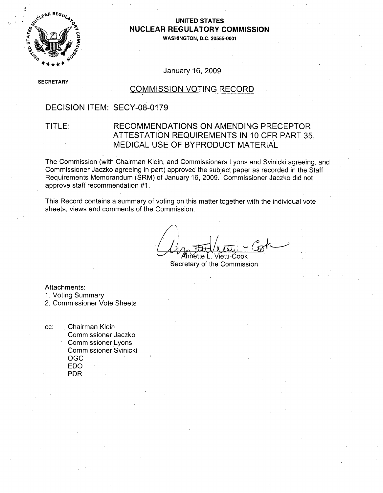

# **NUCLEAR** REGULATORY **COMMISSION**

**WASHINGTON, D.C. 20555-0001**

#### January 16, 2009

**SE** ECRETARY

#### COMMISSION VOTING RECORD

### DECISION ITEM: SECY-08-0179

#### TITLE: RECOMMENDATIONS ON AMENDING PRECEPTOR ATTESTATION REQUIREMENTS IN 10 CFR PART 35, MEDICAL USE OF BYPRODUCT MATERIAL

The Commission (with Chairman Klein, and Commissioners Lyons and Svinicki agreeing, and Commissioner Jaczko agreeing in part) approved the subject paper as recorded in the Staff Requirements Memorandum (SRM) of January 16, 2009. Commissioner Jaczko did not approve staff recommendation #1.

This Record contains a summary of voting on this matter together with the individual vote sheets, views and comments of the Commission.

**'** vhiLtte A . Vietti-Cook

Secretary of the Commission

Attachments:

1. Voting Summary

2. Commissioner Vote Sheets

cc: Chairman Klein Commissioner Jaczko Commissioner Lyons Commissioner Svinicki OGC EDO PDR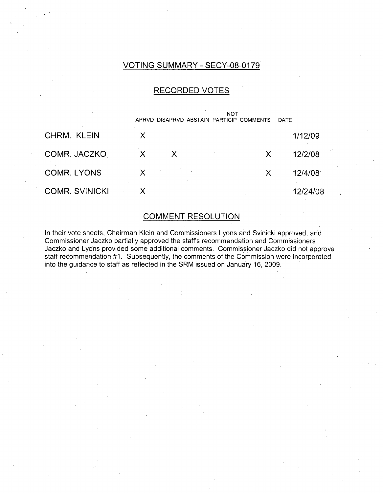## VOTING SUMMARY - SECY-08-0179

#### RECORDED VOTES

|                       |   |              | <b>NOT</b><br>APRVD DISAPRVD ABSTAIN PARTICIP COMMENTS |   | <b>DATE</b> |
|-----------------------|---|--------------|--------------------------------------------------------|---|-------------|
| CHRM. KLEIN           | X |              |                                                        |   | 1/12/09     |
| COMR. JACZKO          | X | $\mathsf{X}$ |                                                        | X | 12/2/08     |
| <b>COMR. LYONS</b>    |   |              |                                                        | X | 12/4/08     |
| <b>COMR. SVINICKI</b> |   |              |                                                        |   | 12/24/08    |

### COMMENT RESOLUTION

In their vote sheets, Chairman Klein and Commissioners Lyons and Svinicki approved, and Commissioner Jaczko partially approved the staffs recommendation and Commissioners Jaczko and Lyons provided some additional comments. Commissioner Jaczko did not approve staff recommendation #1. Subsequently, the comments of the Commission were incorporated into the guidance to staff as reflected in the SRM issued on January 16, 2009.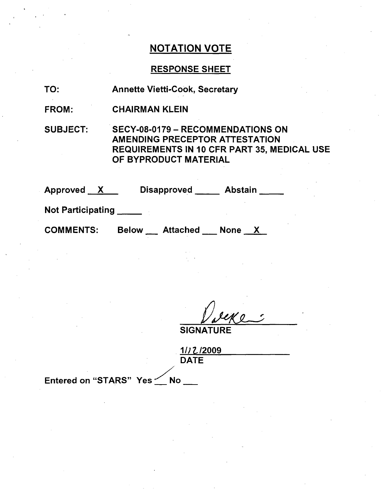## RESPONSE SHEET

- TO: Annette Vietti-Cook, Secretary
- FROM: CHAIRMAN KLEIN

SUBJECT: SECY-08-0179 - RECOMMENDATIONS ON AMENDING PRECEPTOR ATTESTATION REQUIREMENTS IN 10 CFR PART 35, MEDICAL USE OF BYPRODUCT MATERIAL

| Approved<br>$\mathsf{X}$ | <b>Disapproved</b>              | <b>Abstain</b> |
|--------------------------|---------------------------------|----------------|
| <b>Not Participating</b> |                                 |                |
| <b>COMMENTS:</b>         | <b>Attached</b><br><b>Below</b> | <b>None</b>    |

SIGNAT

**.1/17,/2009 DATE** 

Entered on "STARS" Yes  $\leq$  No  $\_\_$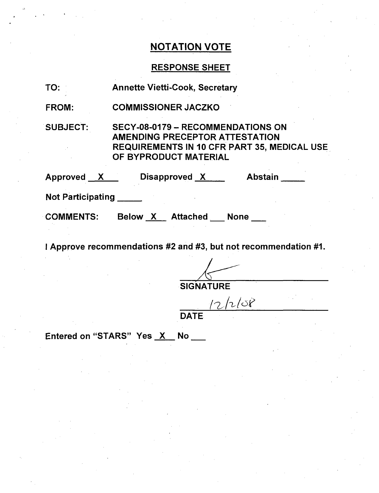## RESPONSE SHEET

| TO:                      | <b>Annette Vietti-Cook, Secretary</b>                                                                                                                            |  |  |  |
|--------------------------|------------------------------------------------------------------------------------------------------------------------------------------------------------------|--|--|--|
| <b>FROM:</b>             | <b>COMMISSIONER JACZKO</b>                                                                                                                                       |  |  |  |
| <b>SUBJECT:</b>          | <b>SECY-08-0179 - RECOMMENDATIONS ON</b><br><b>AMENDING PRECEPTOR ATTESTATION</b><br><b>REQUIREMENTS IN 10 CFR PART 35, MEDICAL USE</b><br>OF BYPRODUCT MATERIAL |  |  |  |
| Approved X               | <b>Abstain</b><br>Disapproved X                                                                                                                                  |  |  |  |
| <b>Not Participating</b> |                                                                                                                                                                  |  |  |  |
| <b>COMMENTS:</b>         | Below X Attached None                                                                                                                                            |  |  |  |

I Approve recommendations #2 and #3, but not recommendation **#1,.**

**SIGNATURE** 

 $12/268$ 

**DATE** 

Entered on "STARS" Yes X No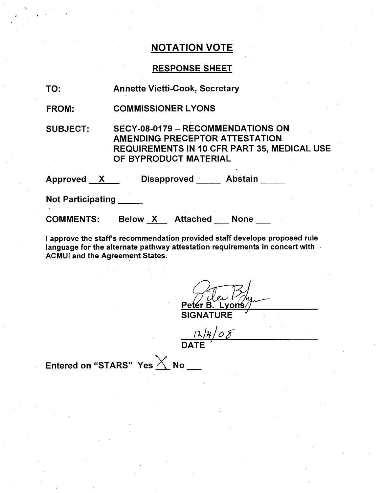## RESPONSE SHEET

| TO:                      | <b>Annette Vietti-Cook, Secretary</b>                                                                                                                     |
|--------------------------|-----------------------------------------------------------------------------------------------------------------------------------------------------------|
| <b>FROM:</b>             | <b>COMMISSIONER LYONS</b>                                                                                                                                 |
| <b>SUBJECT:</b>          | SECY-08-0179 - RECOMMENDATIONS ON<br><b>AMENDING PRECEPTOR ATTESTATION</b><br><b>REQUIREMENTS IN 10 CFR PART 35, MEDICAL USE</b><br>OF BYPRODUCT MATERIAL |
|                          | Approved X Disapproved Abstain                                                                                                                            |
| <b>Not Participating</b> |                                                                                                                                                           |
| <b>COMMENTS:</b>         | Below X Attached None                                                                                                                                     |

I approve the staff's recommendation provided staff develops proposed rule language for the alternate pathway attestation requirements in concert with ACMUI and the Agreement States.

 $P e$ .voriś **SIGNATURE** 

 $\frac{124}{08}$ 

Entered on "STARS" Yes  $\times$  No  $-$